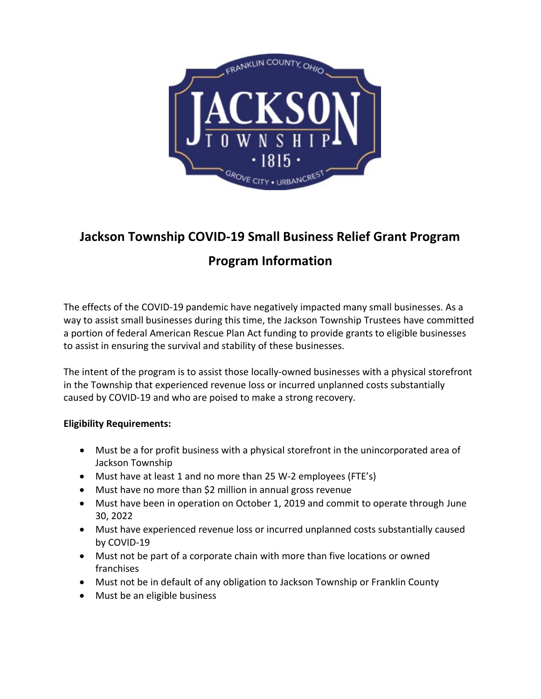

# **Jackson Township COVID-19 Small Business Relief Grant Program Program Information**

The effects of the COVID-19 pandemic have negatively impacted many small businesses. As a way to assist small businesses during this time, the Jackson Township Trustees have committed a portion of federal American Rescue Plan Act funding to provide grants to eligible businesses to assist in ensuring the survival and stability of these businesses.

The intent of the program is to assist those locally-owned businesses with a physical storefront in the Township that experienced revenue loss or incurred unplanned costs substantially caused by COVID-19 and who are poised to make a strong recovery.

# **Eligibility Requirements:**

- Must be a for profit business with a physical storefront in the unincorporated area of Jackson Township
- Must have at least 1 and no more than 25 W-2 employees (FTE's)
- Must have no more than \$2 million in annual gross revenue
- Must have been in operation on October 1, 2019 and commit to operate through June 30, 2022
- Must have experienced revenue loss or incurred unplanned costs substantially caused by COVID-19
- Must not be part of a corporate chain with more than five locations or owned franchises
- Must not be in default of any obligation to Jackson Township or Franklin County
- Must be an eligible business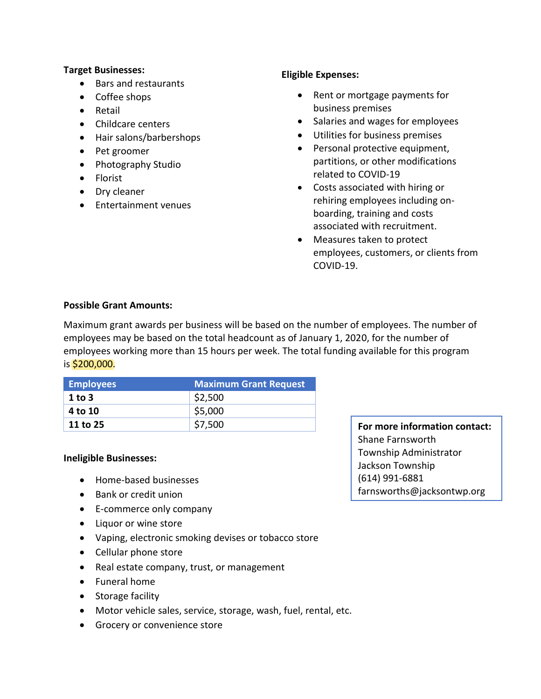#### **Target Businesses:**

- Bars and restaurants
- Coffee shops
- Retail
- Childcare centers
- Hair salons/barbershops
- Pet groomer
- Photography Studio
- Florist
- Dry cleaner
- Entertainment venues

# **Eligible Expenses:**

- Rent or mortgage payments for business premises
- Salaries and wages for employees
- Utilities for business premises
- Personal protective equipment, partitions, or other modifications related to COVID-19
- Costs associated with hiring or rehiring employees including onboarding, training and costs associated with recruitment.
- Measures taken to protect employees, customers, or clients from COVID-19.

## **Possible Grant Amounts:**

Maximum grant awards per business will be based on the number of employees. The number of employees may be based on the total headcount as of January 1, 2020, for the number of employees working more than 15 hours per week. The total funding available for this program is \$200,000.

| <b>Employees</b> | <b>Maximum Grant Request</b> |
|------------------|------------------------------|
| $1$ to $3$       | \$2,500                      |
| 4 to 10          | \$5,000                      |
| 11 to 25         | \$7,500                      |

## **Ineligible Businesses:**

- Home-based businesses
- Bank or credit union
- E-commerce only company
- Liquor or wine store
- Vaping, electronic smoking devises or tobacco store
- Cellular phone store
- Real estate company, trust, or management
- Funeral home
- Storage facility
- Motor vehicle sales, service, storage, wash, fuel, rental, etc.
- Grocery or convenience store

**For more information contact:**  Shane Farnsworth Township Administrator Jackson Township (614) 991-6881 farnsworths@jacksontwp.org